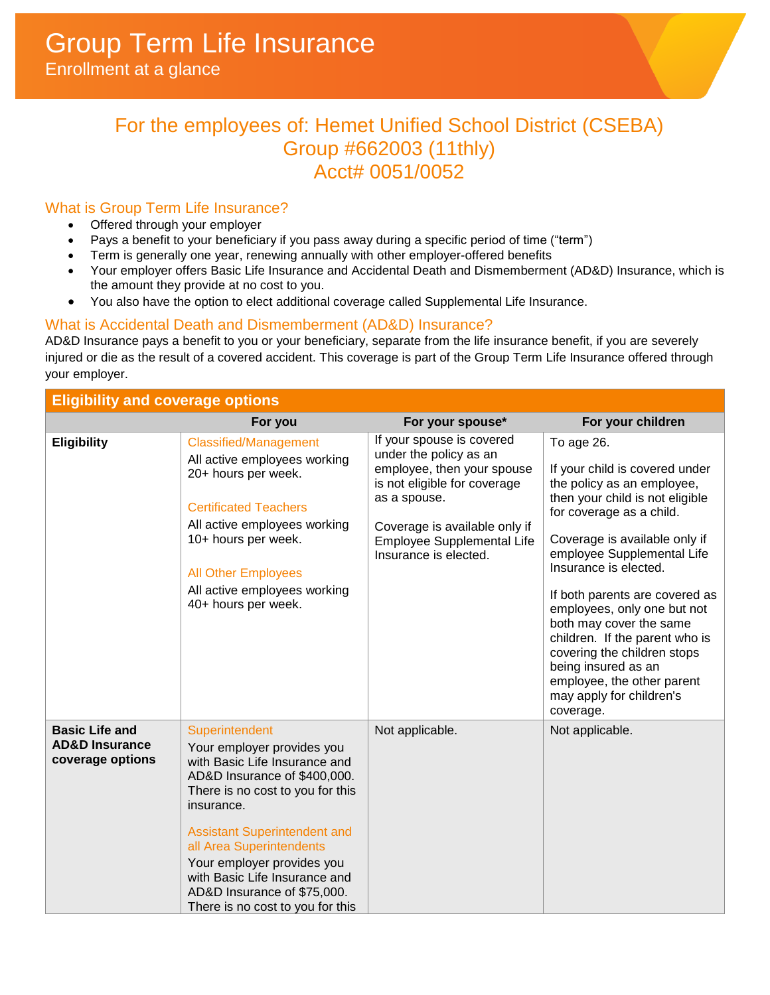# For the employees of: Hemet Unified School District (CSEBA) Group #662003 (11thly) Acct# 0051/0052

# What is Group Term Life Insurance?

- Offered through your employer
- Pays a benefit to your beneficiary if you pass away during a specific period of time ("term")
- Term is generally one year, renewing annually with other employer-offered benefits
- Your employer offers Basic Life Insurance and Accidental Death and Dismemberment (AD&D) Insurance, which is the amount they provide at no cost to you.
- You also have the option to elect additional coverage called Supplemental Life Insurance.

## What is Accidental Death and Dismemberment (AD&D) Insurance?

AD&D Insurance pays a benefit to you or your beneficiary, separate from the life insurance benefit, if you are severely injured or die as the result of a covered accident. This coverage is part of the Group Term Life Insurance offered through your employer.

| <b>Eligibility and coverage options</b>                                |                                                                                                                                                                                                                                                                                                                                                                      |                                                                                                                                                                                                                                  |                                                                                                                                                                                                                                                                                                                                                                                                                                                                                              |
|------------------------------------------------------------------------|----------------------------------------------------------------------------------------------------------------------------------------------------------------------------------------------------------------------------------------------------------------------------------------------------------------------------------------------------------------------|----------------------------------------------------------------------------------------------------------------------------------------------------------------------------------------------------------------------------------|----------------------------------------------------------------------------------------------------------------------------------------------------------------------------------------------------------------------------------------------------------------------------------------------------------------------------------------------------------------------------------------------------------------------------------------------------------------------------------------------|
|                                                                        | For you                                                                                                                                                                                                                                                                                                                                                              | For your spouse*                                                                                                                                                                                                                 | For your children                                                                                                                                                                                                                                                                                                                                                                                                                                                                            |
| <b>Eligibility</b>                                                     | <b>Classified/Management</b><br>All active employees working<br>20+ hours per week.<br><b>Certificated Teachers</b><br>All active employees working<br>10+ hours per week.<br><b>All Other Employees</b><br>All active employees working<br>40+ hours per week.                                                                                                      | If your spouse is covered<br>under the policy as an<br>employee, then your spouse<br>is not eligible for coverage<br>as a spouse.<br>Coverage is available only if<br><b>Employee Supplemental Life</b><br>Insurance is elected. | To age 26.<br>If your child is covered under<br>the policy as an employee,<br>then your child is not eligible<br>for coverage as a child.<br>Coverage is available only if<br>employee Supplemental Life<br>Insurance is elected.<br>If both parents are covered as<br>employees, only one but not<br>both may cover the same<br>children. If the parent who is<br>covering the children stops<br>being insured as an<br>employee, the other parent<br>may apply for children's<br>coverage. |
| <b>Basic Life and</b><br><b>AD&amp;D Insurance</b><br>coverage options | Superintendent<br>Your employer provides you<br>with Basic Life Insurance and<br>AD&D Insurance of \$400,000.<br>There is no cost to you for this<br>insurance.<br><b>Assistant Superintendent and</b><br>all Area Superintendents<br>Your employer provides you<br>with Basic Life Insurance and<br>AD&D Insurance of \$75,000.<br>There is no cost to you for this | Not applicable.                                                                                                                                                                                                                  | Not applicable.                                                                                                                                                                                                                                                                                                                                                                                                                                                                              |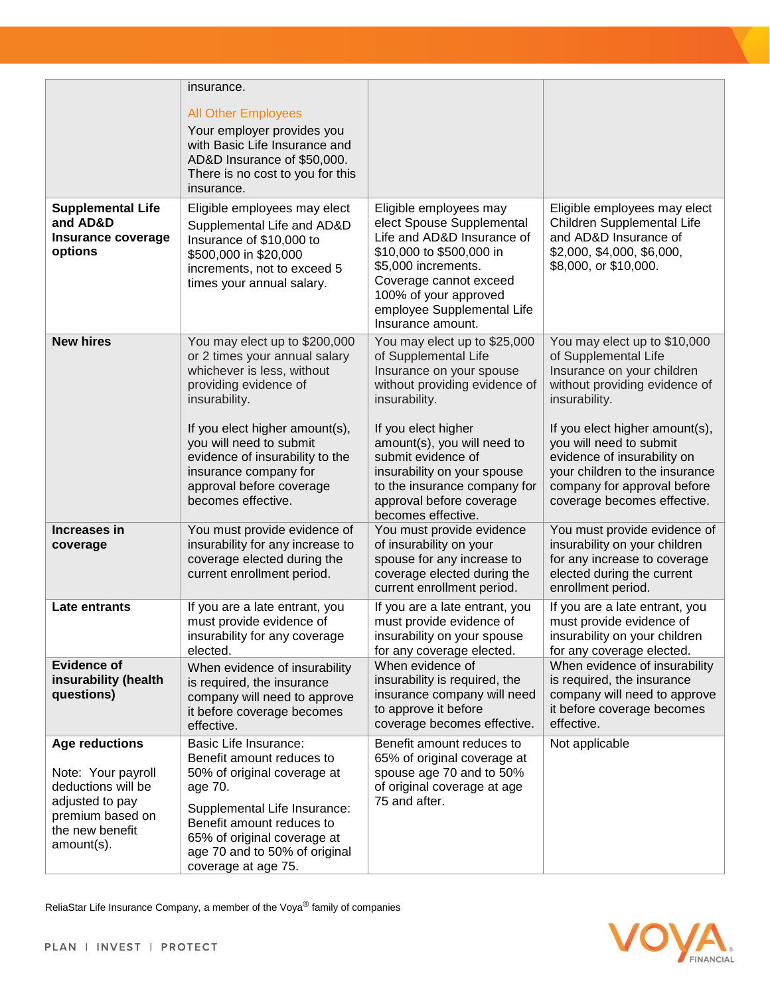|                                                                                                                                           | insurance.                                                                                                                                                                                                                                              |                                                                                                                                                                                                                                            |                                                                                                                                                                                          |
|-------------------------------------------------------------------------------------------------------------------------------------------|---------------------------------------------------------------------------------------------------------------------------------------------------------------------------------------------------------------------------------------------------------|--------------------------------------------------------------------------------------------------------------------------------------------------------------------------------------------------------------------------------------------|------------------------------------------------------------------------------------------------------------------------------------------------------------------------------------------|
|                                                                                                                                           | <b>All Other Employees</b><br>Your employer provides you<br>with Basic Life Insurance and<br>AD&D Insurance of \$50,000.<br>There is no cost to you for this<br>insurance.                                                                              |                                                                                                                                                                                                                                            |                                                                                                                                                                                          |
| <b>Supplemental Life</b><br>and AD&D<br>Insurance coverage<br>options                                                                     | Eligible employees may elect<br>Supplemental Life and AD&D<br>Insurance of \$10,000 to<br>\$500,000 in \$20,000<br>increments, not to exceed 5<br>times your annual salary.                                                                             | Eligible employees may<br>elect Spouse Supplemental<br>Life and AD&D Insurance of<br>\$10,000 to \$500,000 in<br>\$5,000 increments.<br>Coverage cannot exceed<br>100% of your approved<br>employee Supplemental Life<br>Insurance amount. | Eligible employees may elect<br>Children Supplemental Life<br>and AD&D Insurance of<br>\$2,000, \$4,000, \$6,000,<br>\$8,000, or \$10,000.                                               |
| <b>New hires</b>                                                                                                                          | You may elect up to \$200,000<br>or 2 times your annual salary<br>whichever is less, without<br>providing evidence of<br>insurability.                                                                                                                  | You may elect up to \$25,000<br>of Supplemental Life<br>Insurance on your spouse<br>without providing evidence of<br>insurability.                                                                                                         | You may elect up to \$10,000<br>of Supplemental Life<br>Insurance on your children<br>without providing evidence of<br>insurability.                                                     |
|                                                                                                                                           | If you elect higher amount(s),<br>you will need to submit<br>evidence of insurability to the<br>insurance company for<br>approval before coverage<br>becomes effective.                                                                                 | If you elect higher<br>amount(s), you will need to<br>submit evidence of<br>insurability on your spouse<br>to the insurance company for<br>approval before coverage<br>becomes effective.                                                  | If you elect higher amount(s),<br>you will need to submit<br>evidence of insurability on<br>your children to the insurance<br>company for approval before<br>coverage becomes effective. |
| Increases in<br>coverage                                                                                                                  | You must provide evidence of<br>insurability for any increase to<br>coverage elected during the<br>current enrollment period.                                                                                                                           | You must provide evidence<br>of insurability on your<br>spouse for any increase to<br>coverage elected during the<br>current enrollment period.                                                                                            | You must provide evidence of<br>insurability on your children<br>for any increase to coverage<br>elected during the current<br>enrollment period.                                        |
| Late entrants                                                                                                                             | If you are a late entrant, you<br>must provide evidence of<br>insurability for any coverage<br>elected.                                                                                                                                                 | If you are a late entrant, you<br>must provide evidence of<br>insurability on your spouse<br>for any coverage elected.                                                                                                                     | If you are a late entrant, you<br>must provide evidence of<br>insurability on your children<br>for any coverage elected.                                                                 |
| <b>Evidence of</b><br>insurability (health<br>questions)                                                                                  | When evidence of insurability<br>is required, the insurance<br>company will need to approve<br>it before coverage becomes<br>effective.                                                                                                                 | When evidence of<br>insurability is required, the<br>insurance company will need<br>to approve it before<br>coverage becomes effective.                                                                                                    | When evidence of insurability<br>is required, the insurance<br>company will need to approve<br>it before coverage becomes<br>effective.                                                  |
| <b>Age reductions</b><br>Note: Your payroll<br>deductions will be<br>adjusted to pay<br>premium based on<br>the new benefit<br>amount(s). | <b>Basic Life Insurance:</b><br>Benefit amount reduces to<br>50% of original coverage at<br>age 70.<br>Supplemental Life Insurance:<br>Benefit amount reduces to<br>65% of original coverage at<br>age 70 and to 50% of original<br>coverage at age 75. | Benefit amount reduces to<br>65% of original coverage at<br>spouse age 70 and to 50%<br>of original coverage at age<br>75 and after.                                                                                                       | Not applicable                                                                                                                                                                           |

ReliaStar Life Insurance Company, a member of the Voya® family of companies

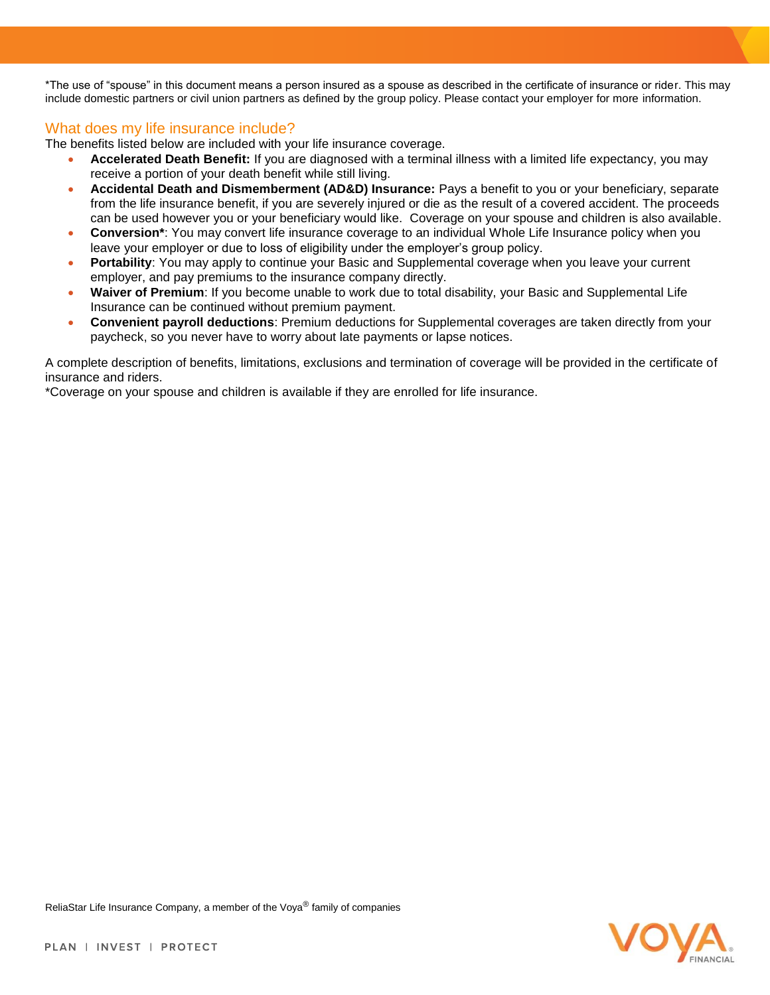\*The use of "spouse" in this document means a person insured as a spouse as described in the certificate of insurance or rider. This may include domestic partners or civil union partners as defined by the group policy. Please contact your employer for more information.

## What does my life insurance include?

The benefits listed below are included with your life insurance coverage.

- **Accelerated Death Benefit:** If you are diagnosed with a terminal illness with a limited life expectancy, you may receive a portion of your death benefit while still living.
- **Accidental Death and Dismemberment (AD&D) Insurance:** Pays a benefit to you or your beneficiary, separate from the life insurance benefit, if you are severely injured or die as the result of a covered accident. The proceeds can be used however you or your beneficiary would like. Coverage on your spouse and children is also available.
- **Conversion\***: You may convert life insurance coverage to an individual Whole Life Insurance policy when you leave your employer or due to loss of eligibility under the employer's group policy.
- **Portability**: You may apply to continue your Basic and Supplemental coverage when you leave your current employer, and pay premiums to the insurance company directly.
- **Waiver of Premium**: If you become unable to work due to total disability, your Basic and Supplemental Life Insurance can be continued without premium payment.
- **Convenient payroll deductions**: Premium deductions for Supplemental coverages are taken directly from your paycheck, so you never have to worry about late payments or lapse notices.

A complete description of benefits, limitations, exclusions and termination of coverage will be provided in the certificate of insurance and riders.

\*Coverage on your spouse and children is available if they are enrolled for life insurance.

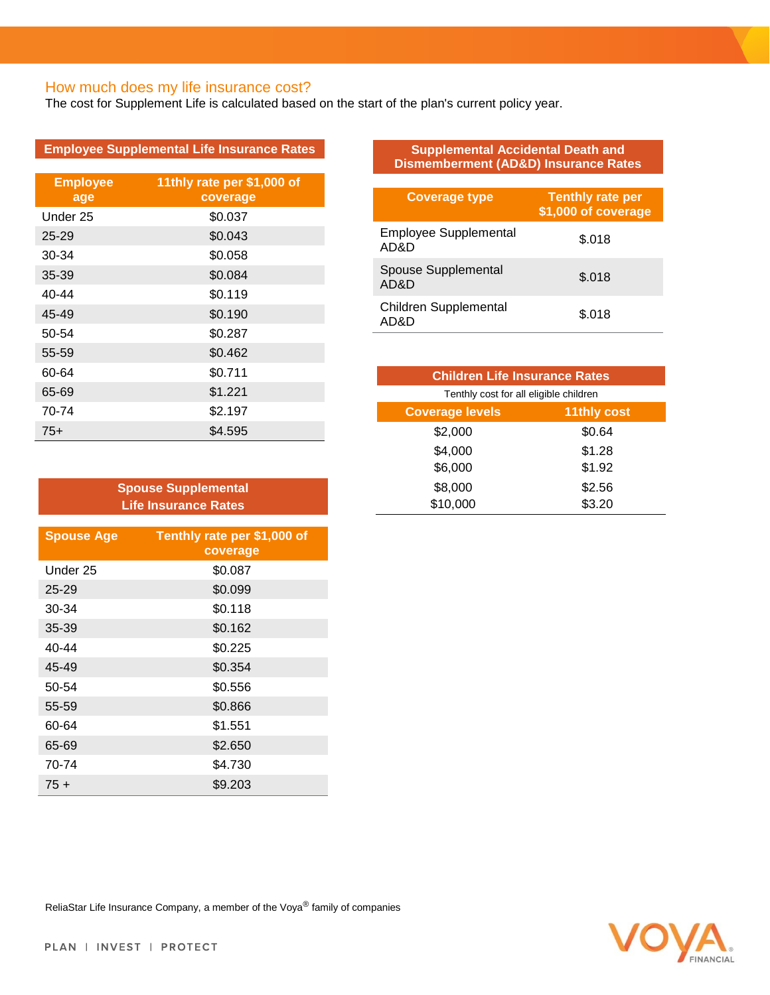## How much does my life insurance cost?

The cost for Supplement Life is calculated based on the start of the plan's current policy year.

| <b>Employee Supplemental Life Insurance Rates</b> |  |
|---------------------------------------------------|--|
|---------------------------------------------------|--|

| <b>Employee</b><br>age | 11thly rate per \$1,000 of<br>coverage |
|------------------------|----------------------------------------|
| Under 25               | \$0.037                                |
| $25 - 29$              | \$0.043                                |
| 30-34                  | \$0.058                                |
| $35 - 39$              | \$0.084                                |
| 40-44                  | \$0.119                                |
| 45-49                  | \$0.190                                |
| 50-54                  | \$0.287                                |
| 55-59                  | \$0.462                                |
| 60-64                  | \$0.711                                |
| 65-69                  | \$1.221                                |
| 70-74                  | \$2.197                                |
| $75+$                  | \$4.595                                |

| <b>Spouse Supplemental</b><br><b>Life Insurance Rates</b> |                                         |  |
|-----------------------------------------------------------|-----------------------------------------|--|
| <b>Spouse Age</b>                                         | Tenthly rate per \$1,000 of<br>coverage |  |
| Under 25                                                  | \$0.087                                 |  |
| $25 - 29$                                                 | \$0.099                                 |  |
| 30-34                                                     | \$0.118                                 |  |
| $35 - 39$                                                 | \$0.162                                 |  |
| 40-44                                                     | \$0.225                                 |  |
| 45-49                                                     | \$0.354                                 |  |
| 50-54                                                     | \$0.556                                 |  |
| 55-59                                                     | \$0.866                                 |  |
| 60-64                                                     | \$1.551                                 |  |
| 65-69                                                     | \$2.650                                 |  |
| 70-74                                                     | \$4.730                                 |  |
| $75+$                                                     | \$9.203                                 |  |

#### **Supplemental Accidental Death and Dismemberment (AD&D) Insurance Rates**

| <b>Coverage type</b>                 | <b>Tenthly rate per</b><br>\$1,000 of coverage |
|--------------------------------------|------------------------------------------------|
| <b>Employee Supplemental</b><br>AD&D | \$.018                                         |
| Spouse Supplemental<br>AD&D          | \$.018                                         |
| <b>Children Supplemental</b><br>AD&D | \$.018                                         |

| <b>Children Life Insurance Rates</b>   |                    |  |
|----------------------------------------|--------------------|--|
| Tenthly cost for all eligible children |                    |  |
| <b>Coverage levels</b>                 | <b>11thly cost</b> |  |
| \$2,000                                | \$0.64             |  |
| \$4,000                                | \$1.28             |  |
| \$6,000                                | \$1.92             |  |
| \$8,000                                | \$2.56             |  |
| \$10,000                               | \$3.20             |  |



ReliaStar Life Insurance Company, a member of the Voya® family of companies